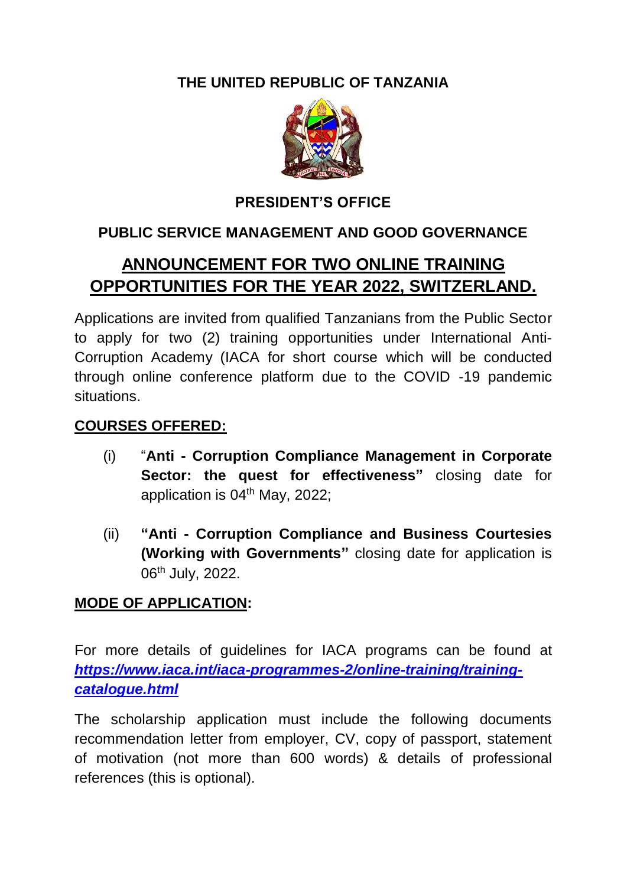**THE UNITED REPUBLIC OF TANZANIA**



## **PRESIDENT'S OFFICE**

# **PUBLIC SERVICE MANAGEMENT AND GOOD GOVERNANCE**

# **ANNOUNCEMENT FOR TWO ONLINE TRAINING OPPORTUNITIES FOR THE YEAR 2022, SWITZERLAND.**

Applications are invited from qualified Tanzanians from the Public Sector to apply for two (2) training opportunities under International Anti-Corruption Academy (IACA for short course which will be conducted through online conference platform due to the COVID -19 pandemic situations.

#### **COURSES OFFERED:**

- (i) "**Anti - Corruption Compliance Management in Corporate Sector: the quest for effectiveness"** closing date for application is 04<sup>th</sup> May, 2022;
- (ii) **"Anti - Corruption Compliance and Business Courtesies (Working with Governments"** closing date for application is 06<sup>th</sup> July, 2022.

## **MODE OF APPLICATION:**

For more details of guidelines for IACA programs can be found at *[https://www.iaca.int/iaca-programmes-2/online-training/training](https://www.iaca.int/iaca-programmes-2/online-training/training-catalogue.html)[catalogue.html](https://www.iaca.int/iaca-programmes-2/online-training/training-catalogue.html)*

The scholarship application must include the following documents recommendation letter from employer, CV, copy of passport, statement of motivation (not more than 600 words) & details of professional references (this is optional).